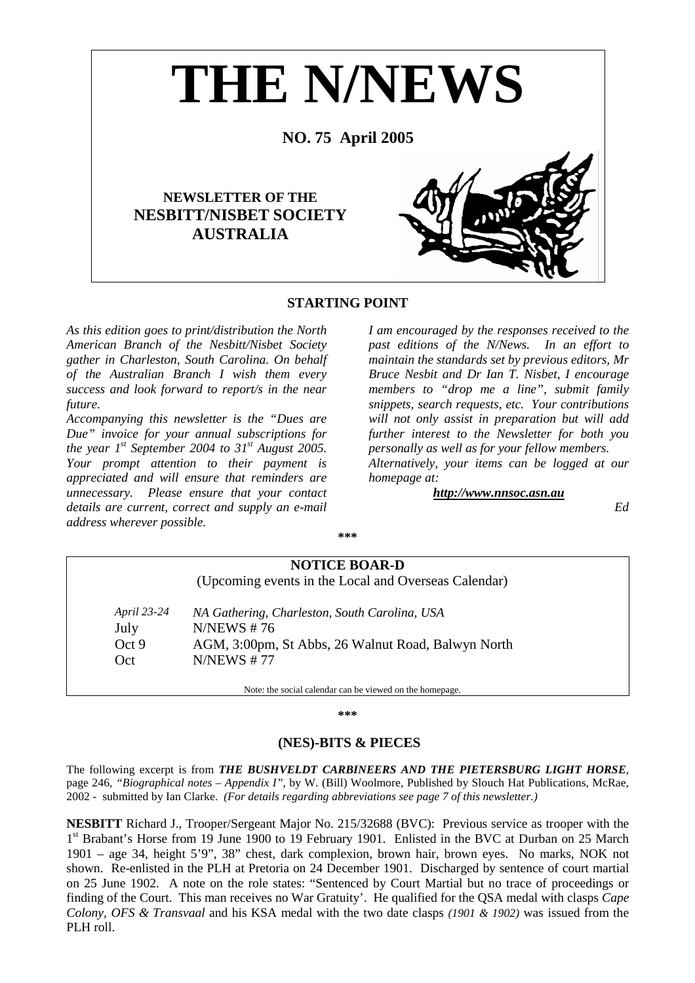

# **STARTING POINT**

*As this edition goes to print/distribution the North American Branch of the Nesbitt/Nisbet Society gather in Charleston, South Carolina. On behalf of the Australian Branch I wish them every success and look forward to report/s in the near future.* 

*Accompanying this newsletter is the "Dues are Due" invoice for your annual subscriptions for the year*  $1^{st}$  *September 2004 to 31<sup>st</sup> August 2005. Your prompt attention to their payment is appreciated and will ensure that reminders are unnecessary. Please ensure that your contact details are current, correct and supply an e-mail address wherever possible.* 

*I am encouraged by the responses received to the past editions of the N/News. In an effort to maintain the standards set by previous editors, Mr Bruce Nesbit and Dr Ian T. Nisbet, I encourage members to "drop me a line", submit family snippets, search requests, etc. Your contributions will not only assist in preparation but will add further interest to the Newsletter for both you personally as well as for your fellow members. Alternatively, your items can be logged at our homepage at:* 

*http://www.nnsoc.asn.au*

*Ed* 

**\*\*\*** 

| <b>NOTICE BOAR-D</b> |                                                      |  |
|----------------------|------------------------------------------------------|--|
|                      | (Upcoming events in the Local and Overseas Calendar) |  |
| <i>April 23-24</i>   | NA Gathering, Charleston, South Carolina, USA        |  |
| July                 | N/NEWS $#76$                                         |  |
| Oct 9                | AGM, 3:00pm, St Abbs, 26 Walnut Road, Balwyn North   |  |
| Oct                  | N/NEWS # 77                                          |  |

**\*\*\*** 

# **(NES)-BITS & PIECES**

The following excerpt is from *THE BUSHVELDT CARBINEERS AND THE PIETERSBURG LIGHT HORSE*, page 246, *"Biographical notes – Appendix I"*, by W. (Bill) Woolmore, Published by Slouch Hat Publications, McRae, 2002 - submitted by Ian Clarke. *(For details regarding abbreviations see page 7 of this newsletter.)*

**NESBITT** Richard J., Trooper/Sergeant Major No. 215/32688 (BVC): Previous service as trooper with the 1<sup>st</sup> Brabant's Horse from 19 June 1900 to 19 February 1901. Enlisted in the BVC at Durban on 25 March 1901 – age 34, height 5'9", 38" chest, dark complexion, brown hair, brown eyes. No marks, NOK not shown. Re-enlisted in the PLH at Pretoria on 24 December 1901. Discharged by sentence of court martial on 25 June 1902. A note on the role states: "Sentenced by Court Martial but no trace of proceedings or finding of the Court. This man receives no War Gratuity'. He qualified for the QSA medal with clasps *Cape Colony, OFS & Transvaal* and his KSA medal with the two date clasps *(1901 & 1902)* was issued from the PLH roll.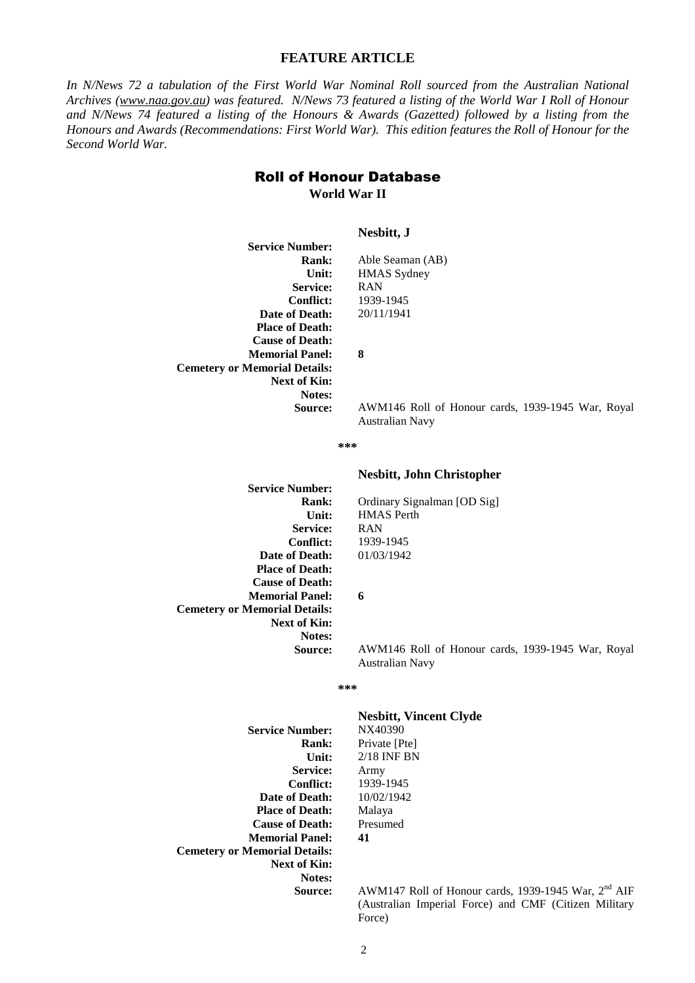# **FEATURE ARTICLE**

*In N/News 72 a tabulation of the First World War Nominal Roll sourced from the Australian National Archives (www.naa.gov.au) was featured. N/News 73 featured a listing of the World War I Roll of Honour and N/News 74 featured a listing of the Honours & Awards (Gazetted) followed by a listing from the Honours and Awards (Recommendations: First World War). This edition features the Roll of Honour for the Second World War.* 

# Roll of Honour Database **World War II**

|                                      | Nesbitt, J                                                           |
|--------------------------------------|----------------------------------------------------------------------|
| <b>Service Number:</b>               |                                                                      |
| <b>Rank:</b>                         | Able Seaman (AB)                                                     |
| Unit:                                | <b>HMAS</b> Sydney                                                   |
| <b>Service:</b>                      | <b>RAN</b>                                                           |
| <b>Conflict:</b>                     | 1939-1945                                                            |
| Date of Death:                       | 20/11/1941                                                           |
| <b>Place of Death:</b>               |                                                                      |
| <b>Cause of Death:</b>               |                                                                      |
| <b>Memorial Panel:</b>               | 8                                                                    |
| <b>Cemetery or Memorial Details:</b> |                                                                      |
| Next of Kin:                         |                                                                      |
| <b>Notes:</b>                        |                                                                      |
| Source:                              | AWM146 Roll of Honour cards, 1939-1945 War, Royal<br>Australian Navy |

**\*\*\*** 

#### **Nesbitt, John Christopher**

**Service Number: Service: Conflict: Date of Death: Place of Death: Cause of Death: Memorial Panel: Cemetery or Memorial Details: Next of Kin: Notes:** 

**Rank:** Ordinary Signalman [OD Sig] **Unit:** HMAS Perth RAN 1939-1945 01/03/1942

**6** 

**Source:** AWM146 Roll of Honour cards, 1939-1945 War, Royal Australian Navy

#### **\*\*\***

| <b>Service Number:</b>               |
|--------------------------------------|
| Rank:                                |
| Unit:                                |
| <b>Service:</b>                      |
| Conflict:                            |
| Date of Death:                       |
| <b>Place of Death:</b>               |
| <b>Cause of Death:</b>               |
| <b>Memorial Panel:</b>               |
| <b>Cemetery or Memorial Details:</b> |
| Next of Kin:                         |
| Notes:                               |
| Source:                              |

# **Nesbitt, Vincent Clyde**

**Service Number:** NX40390 Private [Pte] **Unit:** 2/18 INF BN Army 1939-1945 10/02/1942 Malaya Presumed **41** 

**Source:** AWM147 Roll of Honour cards, 1939-1945 War, 2nd AIF (Australian Imperial Force) and CMF (Citizen Military Force)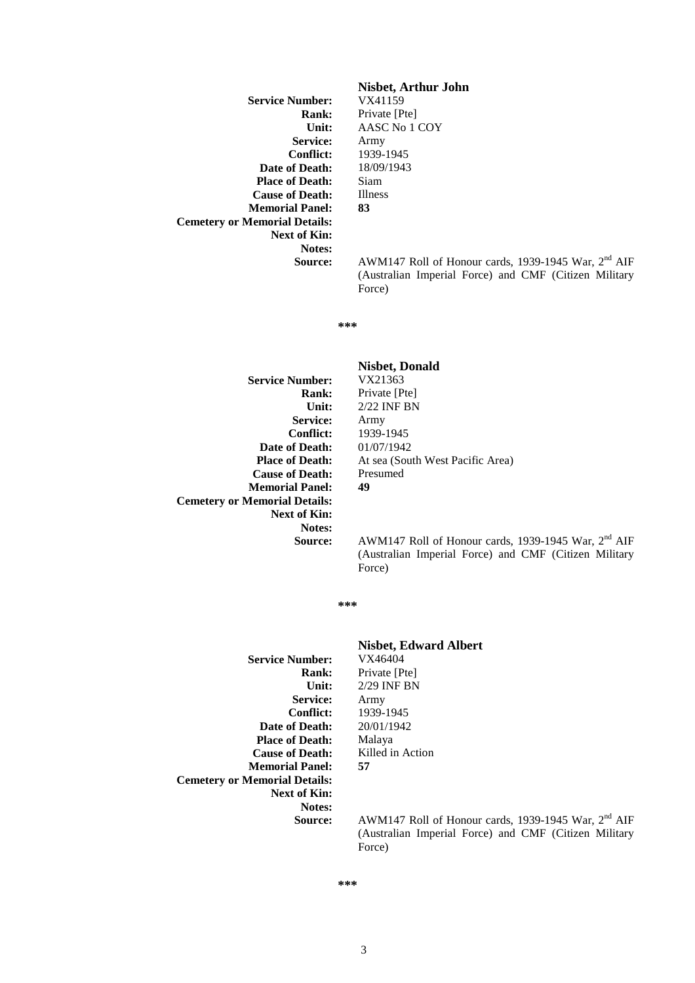**Service Number: Service: Conflict: Date of Death: Place of Death: Cause of Death: Memorial Panel: Cemetery or Memorial Details: Next of Kin: Notes:** 

# **Nisbet, Arthur John**

**Rank:** Private [Pte] **Unit:** AASC No 1 COY Army 1939-1945 18/09/1943 Siam Illness **83** 

Source: AWM147 Roll of Honour cards, 1939-1945 War, 2<sup>nd</sup> AIF (Australian Imperial Force) and CMF (Citizen Military Force)

**\*\*\*** 

**Service Number: Service: Conflict: Date of Death: Place of Death: Cause of Death: Memorial Panel: Cemetery or Memorial Details: Next of Kin: Notes:** 

# **Nisbet, Donald Rank:** Private [Pte] **Unit:** 2/22 INF BN Army 1939-1945 01/07/1942 At sea (South West Pacific Area) Presumed **49**

**Source:** AWM147 Roll of Honour cards, 1939-1945 War, 2<sup>nd</sup> AIF (Australian Imperial Force) and CMF (Citizen Military Force)

**\*\*\*** 

**Service Number: Service: Conflict: Date of Death: Place of Death: Cause of Death: Memorial Panel: Cemetery or Memorial Details: Next of Kin: Notes:** 

# **Nisbet, Edward Albert**

**Rank:** Private [Pte]<br>Unit: 2/29 INF BN **Unit:** 2/29 INF BN Army 1939-1945 20/01/1942 Malaya Killed in Action **57** 

**Source:** AWM147 Roll of Honour cards, 1939-1945 War, 2<sup>nd</sup> AIF (Australian Imperial Force) and CMF (Citizen Military Force)

3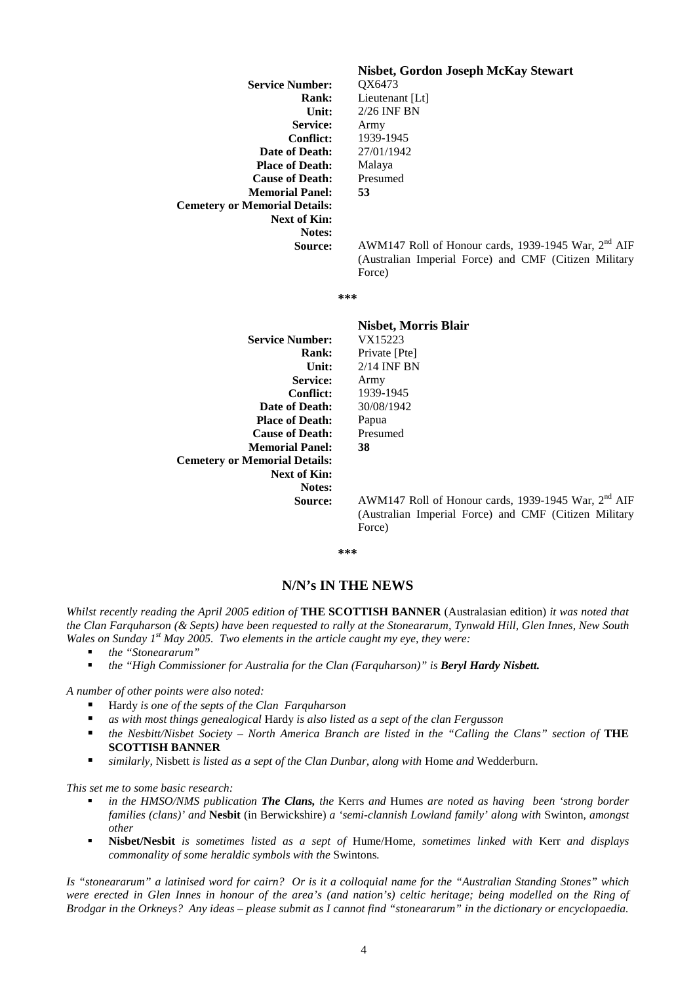| <b>Service Number:</b>               |
|--------------------------------------|
| Rank:                                |
| Unit:                                |
| <b>Service:</b>                      |
| Conflict:                            |
| Date of Death:                       |
| <b>Place of Death:</b>               |
| <b>Cause of Death:</b>               |
| <b>Memorial Panel:</b>               |
| <b>Cemetery or Memorial Details:</b> |
| Next of Kin:                         |
| Notes:                               |
| Source:                              |

# **Nisbet, Gordon Joseph McKay Stewart**

**Service Number:** QX6473 Lieutenant [Lt] **Unit:** 2/26 INF BN Army 1939-1945 27/01/1942 Malaya Presumed **53** 

**Source:** AWM147 Roll of Honour cards, 1939-1945 War, 2nd AIF (Australian Imperial Force) and CMF (Citizen Military Force)

**\*\*\*** 

|                                      | <b>Nisbet, Morris Blair</b> |
|--------------------------------------|-----------------------------|
| <b>Service Number:</b>               | VX15223                     |
| Rank:                                | Private [Pte]               |
| Unit:                                | $2/14$ INF BN               |
| <b>Service:</b>                      | Army                        |
| <b>Conflict:</b>                     | 1939-1945                   |
| Date of Death:                       | 30/08/1942                  |
| <b>Place of Death:</b>               | Papua                       |
| <b>Cause of Death:</b>               | Presumed                    |
| <b>Memorial Panel:</b>               | 38                          |
| <b>Cemetery or Memorial Details:</b> |                             |
| <b>Next of Kin:</b>                  |                             |
| <b>Notes:</b>                        |                             |
| <b>Source:</b>                       | AWM147 Roll of Hong         |

**Source:** AWM147 Roll of Honour cards, 1939-1945 War, 2nd AIF (Australian Imperial Force) and CMF (Citizen Military Force)

**\*\*\*** 

# **N/N's IN THE NEWS**

*Whilst recently reading the April 2005 edition of* **THE SCOTTISH BANNER** (Australasian edition) *it was noted that the Clan Farquharson (& Septs) have been requested to rally at the Stoneararum, Tynwald Hill, Glen Innes, New South Wales on Sunday 1st May 2005. Two elements in the article caught my eye, they were:* 

- *the "Stoneararum"*
- **the "High Commissioner for Australia for the Clan (Farquharson)" is Beryl Hardy Nisbett.**

*A number of other points were also noted:* 

- Hardy *is one of the septs of the Clan Farquharson*
- *as with most things genealogical* Hardy *is also listed as a sept of the clan Fergusson*
- **the Nesbitt/Nisbet Society North America Branch are listed in the "Calling the Clans" section of <b>THE SCOTTISH BANNER**
- *similarly,* Nisbett *is listed as a sept of the Clan Dunbar, along with* Home *and* Wedderburn.

*This set me to some basic research:*

- *in the HMSO/NMS publication The Clans, the* Kerrs *and* Humes *are noted as having been 'strong border families (clans)' and* **Nesbit** (in Berwickshire) *a 'semi-clannish Lowland family' along with* Swinton*, amongst other*
- **Nisbet/Nesbit** *is sometimes listed as a sept of* Hume/Home*, sometimes linked with* Kerr *and displays commonality of some heraldic symbols with the* Swintons*.*

*Is "stoneararum" a latinised word for cairn? Or is it a colloquial name for the "Australian Standing Stones" which were erected in Glen Innes in honour of the area's (and nation's) celtic heritage; being modelled on the Ring of Brodgar in the Orkneys? Any ideas – please submit as I cannot find "stoneararum" in the dictionary or encyclopaedia.*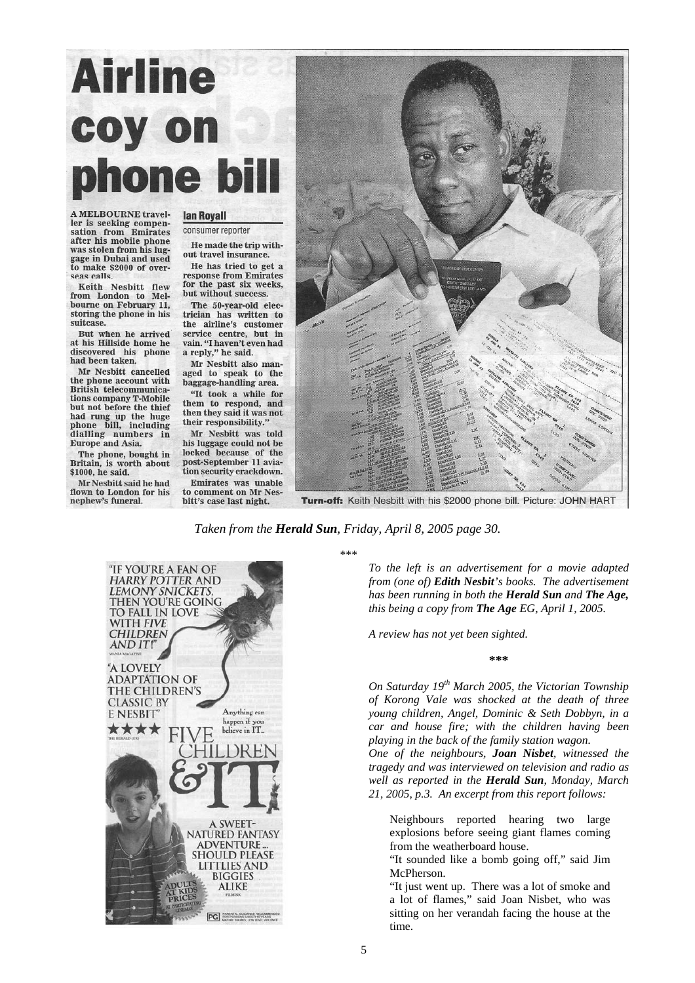# **Airline** coy on me l

**A MELROURNE travel**ler is seeking compensation from Emirates after his mobile phone was stolen from his luggage in Dubai and used<br>to make \$2000 of overseas calls.

Keith Nesbitt flew from London to Melbourne on February 11, storing the phone in his suitcase.

But when he arrived at his Hillside home he discovered his phone had been taken.

Mr Nesbitt cancelled the phone account with British telecommunications company T-Mobile but not before the thief but not before the their<br>had rung up the huge<br>phone bill, including<br>dialling numbers in<br>Europe and Asia.

The phone, bought in Britain, is worth about \$1000, he said.

Mr Neshitt said he had flown to London for his nephew's funeral.

**lan Royall** consumer reporter

He made the trip without travel insurance.

He has tried to get a response from Emirates for the past six weeks, but without success.

The 50-year-old electrician has written to the airline's customer service centre, but in vain. "I haven't even had<br>a reply," he said.

Mr Nesbitt also managed to speak to the baggage-handling area.

"It took a while for them to respond, and then they said it was not their responsibility." Mr Nesbitt was told

his luggage could not be locked because of the post-September 11 aviation security crackdown. Emirates was unable

to comment on Mr Nesbitt's case last night.



Turn-off: Keith Nesbitt with his \$2000 phone bill. Picture: JOHN HART

*Taken from the Herald Sun, Friday, April 8, 2005 page 30.* 



\*\*\*

*To the left is an advertisement for a movie adapted from (one of) Edith Nesbit's books. The advertisement has been running in both the Herald Sun and The Age, this being a copy from The Age EG, April 1, 2005.* 

*A review has not yet been sighted.* 

#### **\*\*\***

*On Saturday 19th March 2005, the Victorian Township of Korong Vale was shocked at the death of three young children, Angel, Dominic & Seth Dobbyn, in a car and house fire; with the children having been playing in the back of the family station wagon. One of the neighbours, Joan Nisbet, witnessed the tragedy and was interviewed on television and radio as* 

*well as reported in the Herald Sun, Monday, March 21, 2005, p.3. An excerpt from this report follows:* 

Neighbours reported hearing two large explosions before seeing giant flames coming from the weatherboard house.

"It sounded like a bomb going off," said Jim McPherson.

"It just went up. There was a lot of smoke and a lot of flames," said Joan Nisbet, who was sitting on her verandah facing the house at the time.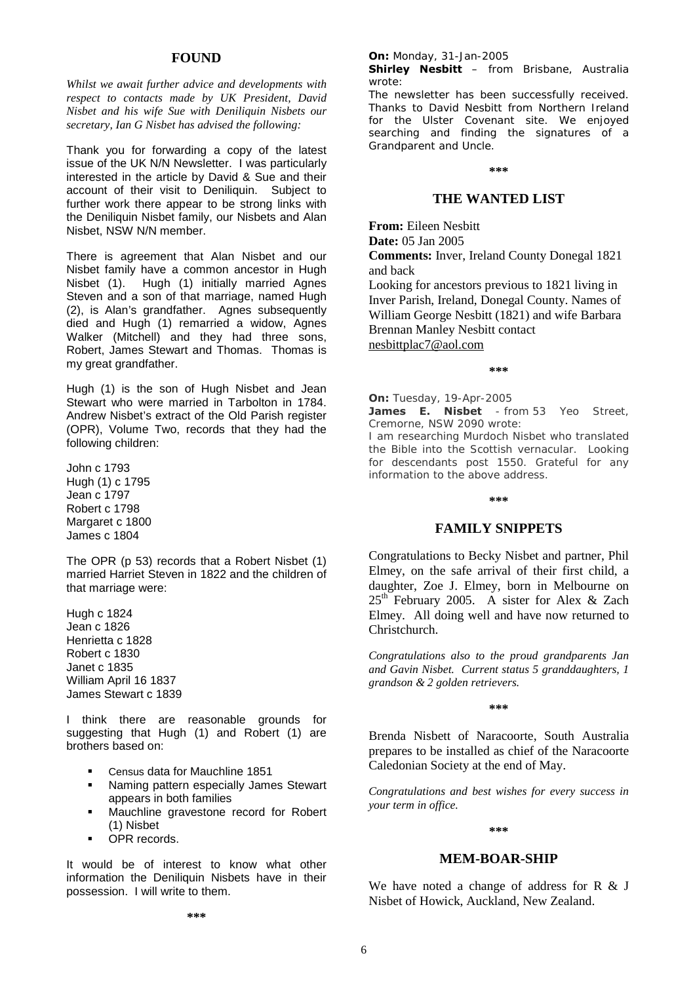# **FOUND**

*Whilst we await further advice and developments with respect to contacts made by UK President, David Nisbet and his wife Sue with Deniliquin Nisbets our secretary, Ian G Nisbet has advised the following:* 

Thank you for forwarding a copy of the latest issue of the UK N/N Newsletter. I was particularly interested in the article by David & Sue and their account of their visit to Deniliquin. Subject to further work there appear to be strong links with the Deniliquin Nisbet family, our Nisbets and Alan Nisbet, NSW N/N member.

There is agreement that Alan Nisbet and our Nisbet family have a common ancestor in Hugh Nisbet (1). Hugh (1) initially married Agnes Steven and a son of that marriage, named Hugh (2), is Alan's grandfather. Agnes subsequently died and Hugh (1) remarried a widow, Agnes Walker (Mitchell) and they had three sons, Robert, James Stewart and Thomas. Thomas is my great grandfather.

Hugh (1) is the son of Hugh Nisbet and Jean Stewart who were married in Tarbolton in 1784. Andrew Nisbet's extract of the Old Parish register (OPR), Volume Two, records that they had the following children:

John c 1793 Hugh (1) c 1795 Jean c 1797 Robert c 1798 Margaret c 1800 James c 1804

The OPR (p 53) records that a Robert Nisbet (1) married Harriet Steven in 1822 and the children of that marriage were:

Hugh c 1824 Jean c 1826 Henrietta c 1828 Robert c 1830 Janet c 1835 William April 16 1837 James Stewart c 1839

I think there are reasonable grounds for suggesting that Hugh (1) and Robert (1) are brothers based on:

- Census data for Mauchline 1851
- **Naming pattern especially James Stewart** appears in both families
- **Mauchline gravestone record for Robert** (1) Nisbet
- **•** OPR records.

It would be of interest to know what other information the Deniliquin Nisbets have in their possession. I will write to them.

#### **On:** Monday, 31-Jan-2005

**Shirley Nesbitt** – from Brisbane, Australia wrote:

The newsletter has been successfully received. Thanks to David Nesbitt from Northern Ireland for the Ulster Covenant site. We enjoyed searching and finding the signatures of a Grandparent and Uncle.

**\*\*\***

# **THE WANTED LIST**

**From:** Eileen Nesbitt **Date:** 05 Jan 2005

**Comments:** Inver, Ireland County Donegal 1821 and back

Looking for ancestors previous to 1821 living in Inver Parish, Ireland, Donegal County. Names of William George Nesbitt (1821) and wife Barbara Brennan Manley Nesbitt contact nesbittplac7@aol.com

**\*\*\***

**On:** Tuesday, 19-Apr-2005

**James E. Nisbet** - from 53 Yeo Street, Cremorne, NSW 2090 wrote:

I am researching Murdoch Nisbet who translated the Bible into the Scottish vernacular. Looking for descendants post 1550. Grateful for any information to the above address.

#### **\*\*\***

# **FAMILY SNIPPETS**

Congratulations to Becky Nisbet and partner, Phil Elmey, on the safe arrival of their first child, a daughter, Zoe J. Elmey, born in Melbourne on  $25<sup>th</sup>$  February 2005. A sister for Alex & Zach Elmey. All doing well and have now returned to Christchurch.

*Congratulations also to the proud grandparents Jan and Gavin Nisbet. Current status 5 granddaughters, 1 grandson & 2 golden retrievers.* 

**\*\*\*** 

Brenda Nisbett of Naracoorte, South Australia prepares to be installed as chief of the Naracoorte Caledonian Society at the end of May.

*Congratulations and best wishes for every success in your term in office.* 

#### **\*\*\***

#### **MEM-BOAR-SHIP**

We have noted a change of address for R & J Nisbet of Howick, Auckland, New Zealand.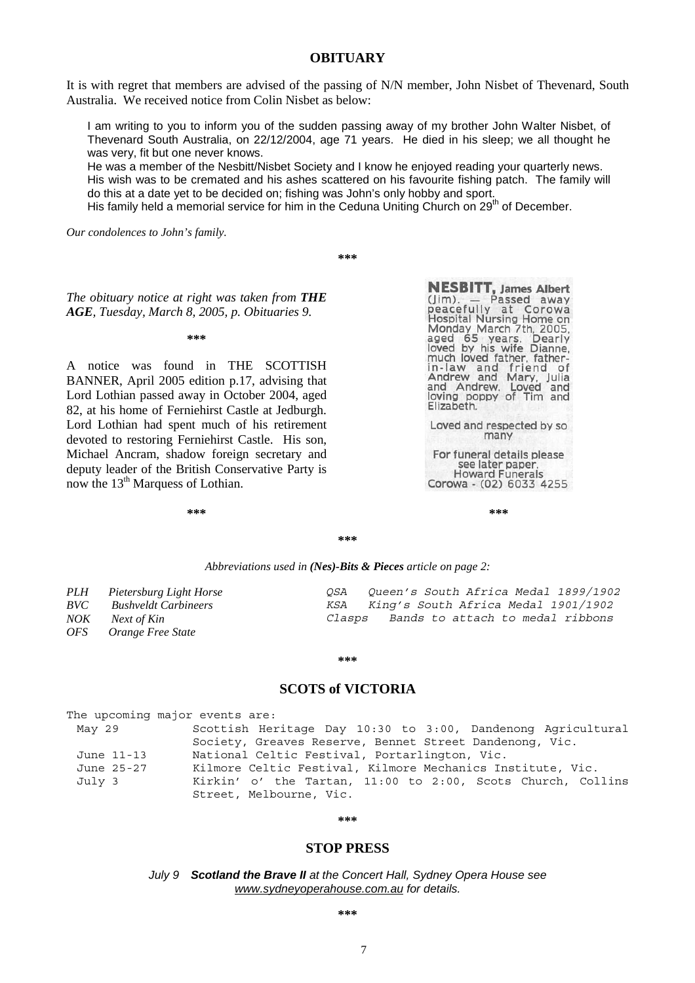# **OBITUARY**

It is with regret that members are advised of the passing of N/N member, John Nisbet of Thevenard, South Australia. We received notice from Colin Nisbet as below:

I am writing to you to inform you of the sudden passing away of my brother John Walter Nisbet, of Thevenard South Australia, on 22/12/2004, age 71 years. He died in his sleep; we all thought he was very, fit but one never knows.

He was a member of the Nesbitt/Nisbet Society and I know he enjoyed reading your quarterly news. His wish was to be cremated and his ashes scattered on his favourite fishing patch. The family will do this at a date yet to be decided on; fishing was John's only hobby and sport.

His family held a memorial service for him in the Ceduna Uniting Church on 29<sup>th</sup> of December.

*Our condolences to John's family.* 

**\*\*\*** 

*The obituary notice at right was taken from THE AGE, Tuesday, March 8, 2005, p. Obituaries 9.* 

**\*\*\*** 

A notice was found in THE SCOTTISH BANNER, April 2005 edition p.17, advising that Lord Lothian passed away in October 2004, aged 82, at his home of Ferniehirst Castle at Jedburgh. Lord Lothian had spent much of his retirement devoted to restoring Ferniehirst Castle. His son, Michael Ancram, shadow foreign secretary and deputy leader of the British Conservative Party is now the 13<sup>th</sup> Marquess of Lothian.

**NESBITT, James Albert**<br>(Jim). — Passed away<br>peacefully at Corowa<br>Hospital Nursing Home on<br>Monday March 7th, 2005,<br>aged 65 years. Dearly<br>loved by his wife Dianne,<br>much loved father, father-<br>in-law and friend of<br>Andrew and in-law and frien<br>Andrew and Mary,<br>and Andrew. Loved Mary, Julia<br>Loved and<br>of Tim and loving poppy of Tim and Elizabeth.

Loved and respected by so many

For funeral details please see later paper. **Howard Funerals** Corowa - (02) 6033 4255

**\*\*\* \*\*\*** 

**\*\*\*** 

#### *Abbreviations used in (Nes)-Bits & Pieces article on page 2:*

| PLH | Pietersburg Light Horse     | OSA    | Oueen's South Africa Medal 1899/1902    |
|-----|-----------------------------|--------|-----------------------------------------|
| BVC | <b>Bushveldt Carbineers</b> |        | KSA King's South Africa Medal 1901/1902 |
| NOK | Next of Kin                 | Clasps | Bands to attach to medal ribbons        |
|     | OFS Orange Free State       |        |                                         |

#### **\*\*\***

# **SCOTS of VICTORIA**

| The upcoming major events are: |                                                             |
|--------------------------------|-------------------------------------------------------------|
| May 29                         | Scottish Heritage Day 10:30 to 3:00, Dandenong Agricultural |
|                                | Society, Greaves Reserve, Bennet Street Dandenong, Vic.     |
| June 11-13                     | National Celtic Festival, Portarlington, Vic.               |
| June 25-27                     | Kilmore Celtic Festival, Kilmore Mechanics Institute, Vic.  |
| July 3                         | Kirkin' o' the Tartan, 11:00 to 2:00, Scots Church, Collins |
|                                | Street, Melbourne, Vic.                                     |

#### **\*\*\***

# **STOP PRESS**

*July 9 Scotland the Brave II at the Concert Hall, Sydney Opera House see www.sydneyoperahouse.com.au for details.*